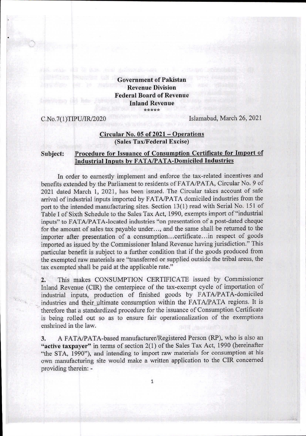**Government of Pakistan Revenue Division Federal Board of Revenue Inland Revenue \*\*\*\*\*** 

C.No.7(1)TIPU/IR/2020 Islamabad, March 26, 2021

## **Circular No. 05 of 2021 — Operations (Sales Tax/Federal Excise)**

## **Subject: Procedure for Issuance of Consumption Certificate for Import of Industrial Inputs by FATA/PATA-Domiciled Industries**

In order to earnestly implement and enforce the tax-related incentives and benefits extended by the Parliament to residents of FATA/PATA, Circular No. 9 of 2021 dated March 1, 2021, has been issued. The Circular takes account of safe arrival of industrial inputs imported by FATA/PATA domiciled industries from the port to the intended manufacturing sites. Section 13(1) read with Serial No. 151 of Table I of Sixth Schedule to the Sales Tax Act, 1990, exempts import of "industrial inputs" to FATAJPATA-located industries "on presentation of a post-dated cheque for the amount of sales tax payable under..., and the same shall be returned to the importer after presentation of a consumption...certificate...in respect of goods imported as issued by the Commissioner Inland Revenue having jurisdiction." This particular benefit is subject to a further condition that if the goods produced from the exempted raw materials are "transferred or supplied outside the tribal areas, the tax exempted shall be paid at the applicable rate."

This makes CONSUMPTION CERTIFICATE issued by Commissioner  $2.$ Inland Revenue (CIR) the centerpiece of the tax-exempt cycle of importation of industrial inputs, production of finished goods by FATA/PATA-domiciled industries and their ultimate consumption within the FATA/PATA regions. It is therefore that a standardized procedure for the issuance of Consumption Certificate is being rolled out so as to ensure fair operationalization of the exemptions enshrined in the law.

A FATA/PATA-based manufacturer/Registered Person (RP), who is also an 3. **"active taxpayer"** in terms of section 2(1) of the Sales Tax Act, 1990 (hereinafter "the STA, 1990"), and intending to import raw materials for consumption at his own manufacturing site would make a written application to the CIR concerned providing therein: -